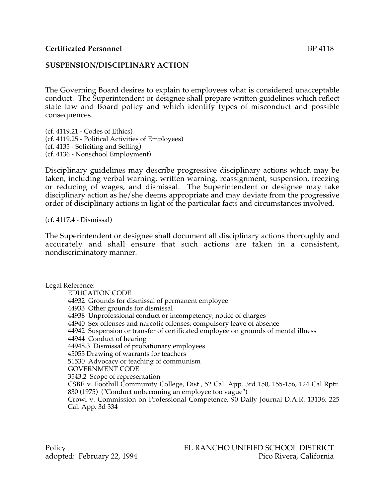## **SUSPENSION/DISCIPLINARY ACTION**

The Governing Board desires to explain to employees what is considered unacceptable conduct. The Superintendent or designee shall prepare written guidelines which reflect state law and Board policy and which identify types of misconduct and possible consequences.

(cf. 4119.21 - Codes of Ethics) (cf. 4119.25 - Political Activities of Employees) (cf. 4135 - Soliciting and Selling) (cf. 4136 - Nonschool Employment)

Disciplinary guidelines may describe progressive disciplinary actions which may be taken, including verbal warning, written warning, reassignment, suspension, freezing or reducing of wages, and dismissal. The Superintendent or designee may take disciplinary action as he/she deems appropriate and may deviate from the progressive order of disciplinary actions in light of the particular facts and circumstances involved.

(cf. 4117.4 - Dismissal)

The Superintendent or designee shall document all disciplinary actions thoroughly and accurately and shall ensure that such actions are taken in a consistent, nondiscriminatory manner.

Legal Reference:

EDUCATION CODE 44932 Grounds for dismissal of permanent employee 44933 Other grounds for dismissal 44938 Unprofessional conduct or incompetency; notice of charges 44940 Sex offenses and narcotic offenses; compulsory leave of absence 44942 Suspension or transfer of certificated employee on grounds of mental illness 44944 Conduct of hearing 44948.3 Dismissal of probationary employees 45055 Drawing of warrants for teachers 51530 Advocacy or teaching of communism GOVERNMENT CODE 3543.2 Scope of representation CSBE v. Foothill Community College, Dist., 52 Cal. App. 3rd 150, 155-156, 124 Cal Rptr. 830 (1975) ("Conduct unbecoming an employee too vague") Crowl v. Commission on Professional Competence, 90 Daily Journal D.A.R. 13136; 225 Cal. App. 3d 334